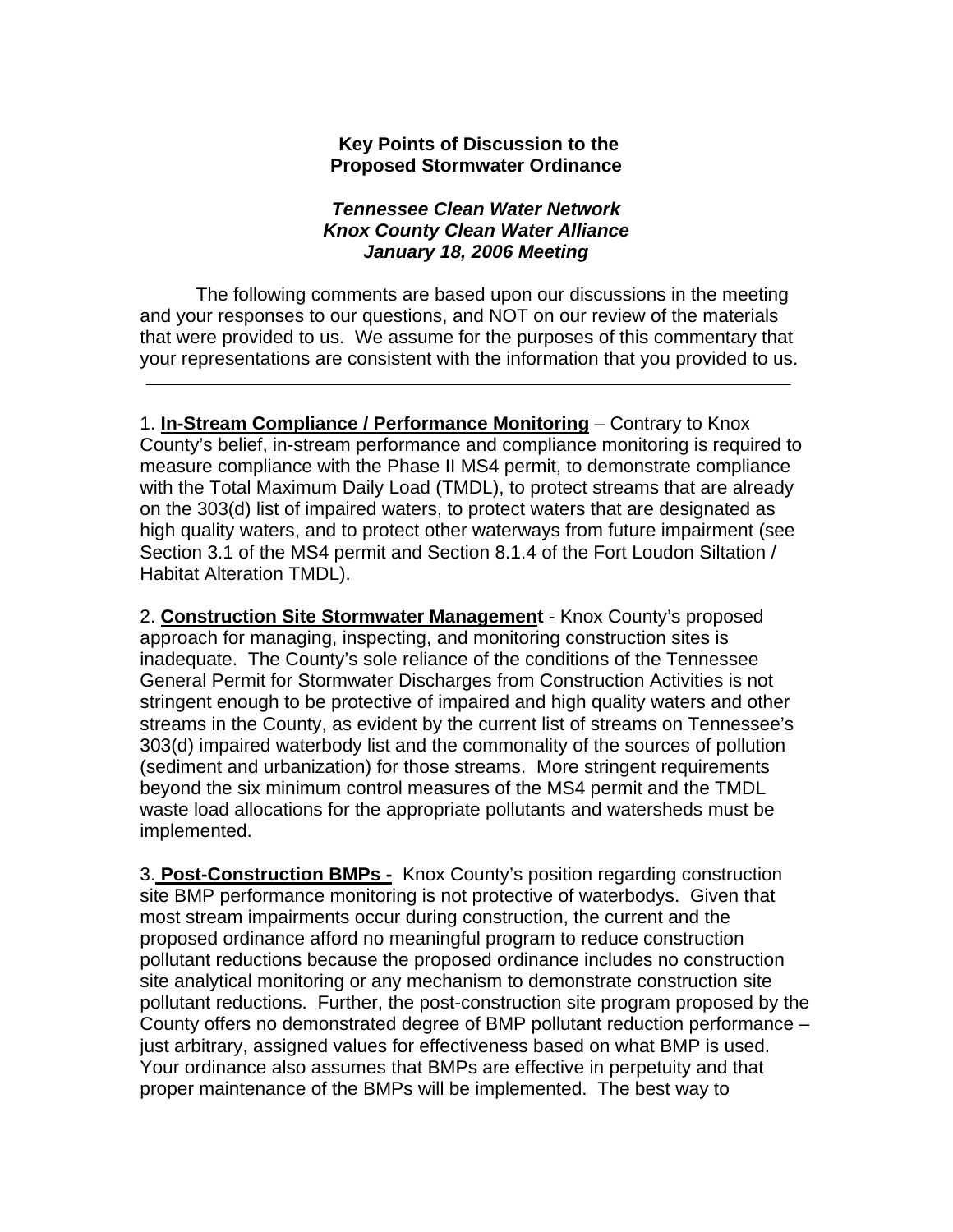## **Key Points of Discussion to the Proposed Stormwater Ordinance**

## *Tennessee Clean Water Network Knox County Clean Water Alliance January 18, 2006 Meeting*

The following comments are based upon our discussions in the meeting and your responses to our questions, and NOT on our review of the materials that were provided to us. We assume for the purposes of this commentary that your representations are consistent with the information that you provided to us.

1. **In-Stream Compliance / Performance Monitoring** – Contrary to Knox County's belief, in-stream performance and compliance monitoring is required to measure compliance with the Phase II MS4 permit, to demonstrate compliance with the Total Maximum Daily Load (TMDL), to protect streams that are already on the 303(d) list of impaired waters, to protect waters that are designated as high quality waters, and to protect other waterways from future impairment (see Section 3.1 of the MS4 permit and Section 8.1.4 of the Fort Loudon Siltation / Habitat Alteration TMDL).

2. **Construction Site Stormwater Management** - Knox County's proposed approach for managing, inspecting, and monitoring construction sites is inadequate. The County's sole reliance of the conditions of the Tennessee General Permit for Stormwater Discharges from Construction Activities is not stringent enough to be protective of impaired and high quality waters and other streams in the County, as evident by the current list of streams on Tennessee's 303(d) impaired waterbody list and the commonality of the sources of pollution (sediment and urbanization) for those streams. More stringent requirements beyond the six minimum control measures of the MS4 permit and the TMDL waste load allocations for the appropriate pollutants and watersheds must be implemented.

3. **Post-Construction BMPs -** Knox County's position regarding construction site BMP performance monitoring is not protective of waterbodys. Given that most stream impairments occur during construction, the current and the proposed ordinance afford no meaningful program to reduce construction pollutant reductions because the proposed ordinance includes no construction site analytical monitoring or any mechanism to demonstrate construction site pollutant reductions. Further, the post-construction site program proposed by the County offers no demonstrated degree of BMP pollutant reduction performance – just arbitrary, assigned values for effectiveness based on what BMP is used. Your ordinance also assumes that BMPs are effective in perpetuity and that proper maintenance of the BMPs will be implemented. The best way to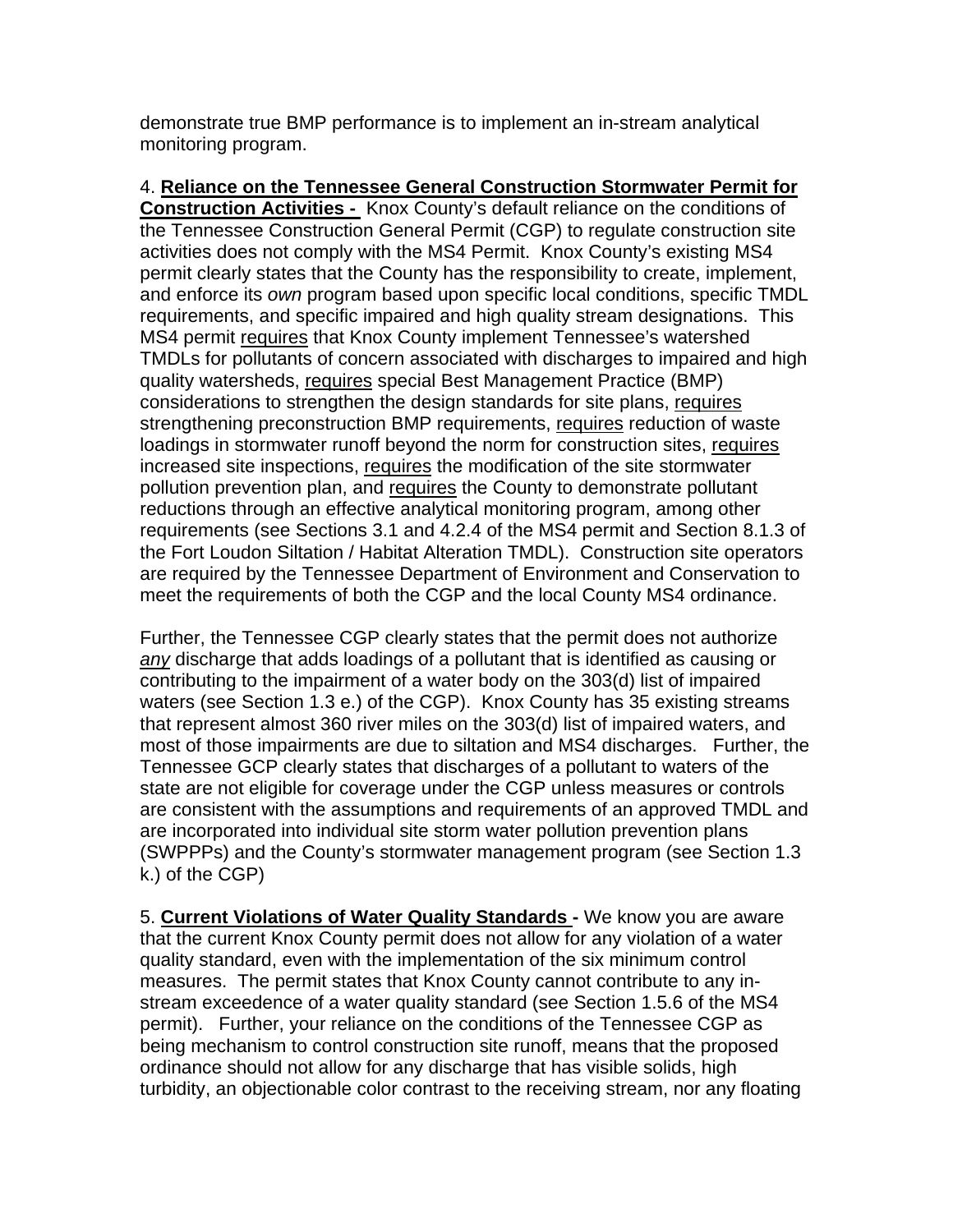demonstrate true BMP performance is to implement an in-stream analytical monitoring program.

4. **Reliance on the Tennessee General Construction Stormwater Permit for Construction Activities -** Knox County's default reliance on the conditions of the Tennessee Construction General Permit (CGP) to regulate construction site activities does not comply with the MS4 Permit. Knox County's existing MS4 permit clearly states that the County has the responsibility to create, implement, and enforce its *own* program based upon specific local conditions, specific TMDL requirements, and specific impaired and high quality stream designations. This MS4 permit requires that Knox County implement Tennessee's watershed TMDLs for pollutants of concern associated with discharges to impaired and high quality watersheds, requires special Best Management Practice (BMP) considerations to strengthen the design standards for site plans, requires strengthening preconstruction BMP requirements, requires reduction of waste loadings in stormwater runoff beyond the norm for construction sites, requires increased site inspections, requires the modification of the site stormwater pollution prevention plan, and requires the County to demonstrate pollutant reductions through an effective analytical monitoring program, among other requirements (see Sections 3.1 and 4.2.4 of the MS4 permit and Section 8.1.3 of the Fort Loudon Siltation / Habitat Alteration TMDL). Construction site operators are required by the Tennessee Department of Environment and Conservation to meet the requirements of both the CGP and the local County MS4 ordinance.

Further, the Tennessee CGP clearly states that the permit does not authorize *any* discharge that adds loadings of a pollutant that is identified as causing or contributing to the impairment of a water body on the 303(d) list of impaired waters (see Section 1.3 e.) of the CGP). Knox County has 35 existing streams that represent almost 360 river miles on the 303(d) list of impaired waters, and most of those impairments are due to siltation and MS4 discharges. Further, the Tennessee GCP clearly states that discharges of a pollutant to waters of the state are not eligible for coverage under the CGP unless measures or controls are consistent with the assumptions and requirements of an approved TMDL and are incorporated into individual site storm water pollution prevention plans (SWPPPs) and the County's stormwater management program (see Section 1.3 k.) of the CGP)

5. **Current Violations of Water Quality Standards -** We know you are aware that the current Knox County permit does not allow for any violation of a water quality standard, even with the implementation of the six minimum control measures. The permit states that Knox County cannot contribute to any instream exceedence of a water quality standard (see Section 1.5.6 of the MS4 permit). Further, your reliance on the conditions of the Tennessee CGP as being mechanism to control construction site runoff, means that the proposed ordinance should not allow for any discharge that has visible solids, high turbidity, an objectionable color contrast to the receiving stream, nor any floating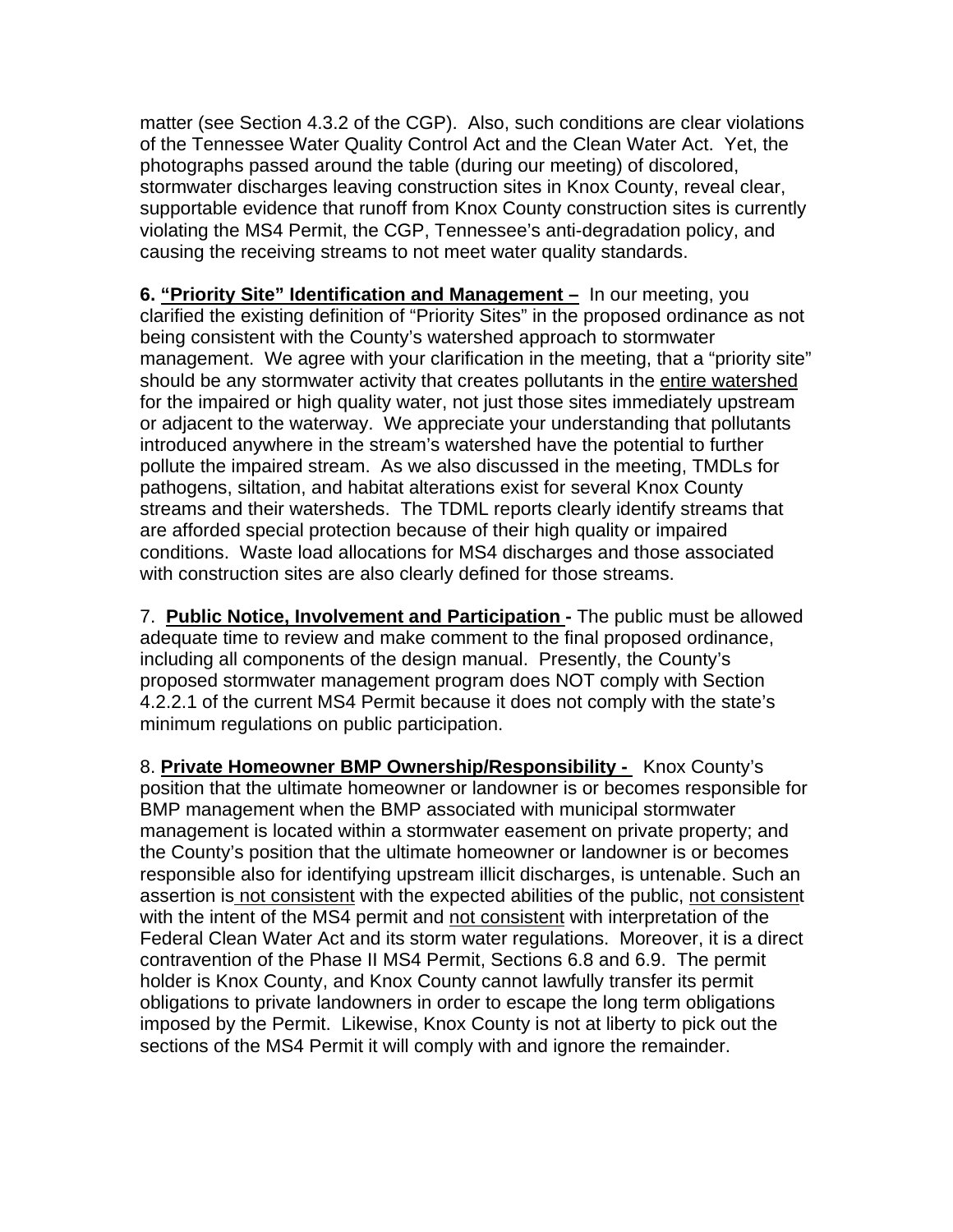matter (see Section 4.3.2 of the CGP). Also, such conditions are clear violations of the Tennessee Water Quality Control Act and the Clean Water Act. Yet, the photographs passed around the table (during our meeting) of discolored, stormwater discharges leaving construction sites in Knox County, reveal clear, supportable evidence that runoff from Knox County construction sites is currently violating the MS4 Permit, the CGP, Tennessee's anti-degradation policy, and causing the receiving streams to not meet water quality standards.

**6. "Priority Site" Identification and Management –** In our meeting, you clarified the existing definition of "Priority Sites" in the proposed ordinance as not being consistent with the County's watershed approach to stormwater management. We agree with your clarification in the meeting, that a "priority site" should be any stormwater activity that creates pollutants in the entire watershed for the impaired or high quality water, not just those sites immediately upstream or adjacent to the waterway. We appreciate your understanding that pollutants introduced anywhere in the stream's watershed have the potential to further pollute the impaired stream. As we also discussed in the meeting, TMDLs for pathogens, siltation, and habitat alterations exist for several Knox County streams and their watersheds. The TDML reports clearly identify streams that are afforded special protection because of their high quality or impaired conditions. Waste load allocations for MS4 discharges and those associated with construction sites are also clearly defined for those streams.

7. **Public Notice, Involvement and Participation -** The public must be allowed adequate time to review and make comment to the final proposed ordinance, including all components of the design manual. Presently, the County's proposed stormwater management program does NOT comply with Section 4.2.2.1 of the current MS4 Permit because it does not comply with the state's minimum regulations on public participation.

8. **Private Homeowner BMP Ownership/Responsibility -** Knox County's position that the ultimate homeowner or landowner is or becomes responsible for BMP management when the BMP associated with municipal stormwater management is located within a stormwater easement on private property; and the County's position that the ultimate homeowner or landowner is or becomes responsible also for identifying upstream illicit discharges, is untenable. Such an assertion is not consistent with the expected abilities of the public, not consistent with the intent of the MS4 permit and not consistent with interpretation of the Federal Clean Water Act and its storm water regulations. Moreover, it is a direct contravention of the Phase II MS4 Permit, Sections 6.8 and 6.9. The permit holder is Knox County, and Knox County cannot lawfully transfer its permit obligations to private landowners in order to escape the long term obligations imposed by the Permit. Likewise, Knox County is not at liberty to pick out the sections of the MS4 Permit it will comply with and ignore the remainder.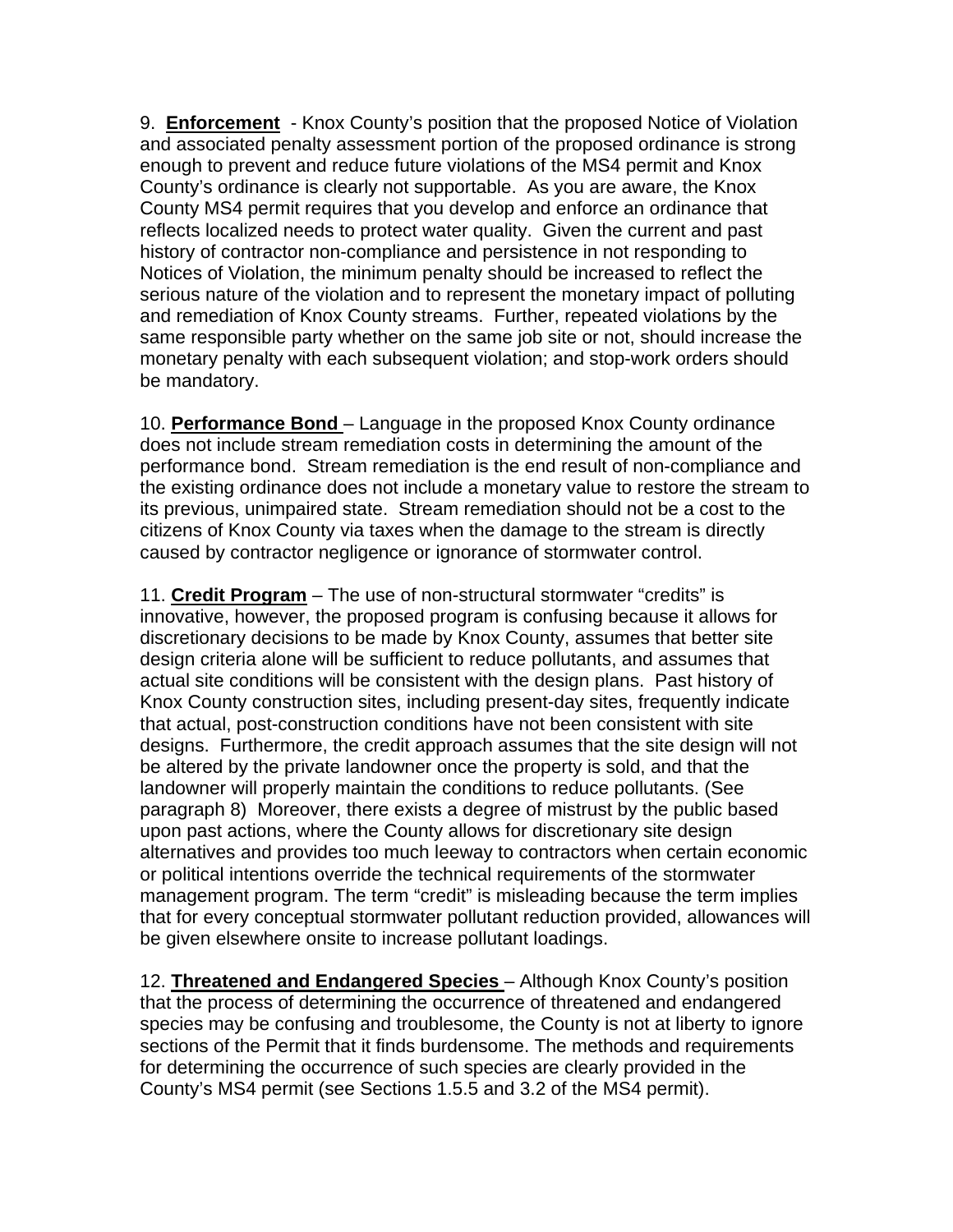9. **Enforcement** - Knox County's position that the proposed Notice of Violation and associated penalty assessment portion of the proposed ordinance is strong enough to prevent and reduce future violations of the MS4 permit and Knox County's ordinance is clearly not supportable. As you are aware, the Knox County MS4 permit requires that you develop and enforce an ordinance that reflects localized needs to protect water quality. Given the current and past history of contractor non-compliance and persistence in not responding to Notices of Violation, the minimum penalty should be increased to reflect the serious nature of the violation and to represent the monetary impact of polluting and remediation of Knox County streams. Further, repeated violations by the same responsible party whether on the same job site or not, should increase the monetary penalty with each subsequent violation; and stop-work orders should be mandatory.

10. **Performance Bond** – Language in the proposed Knox County ordinance does not include stream remediation costs in determining the amount of the performance bond. Stream remediation is the end result of non-compliance and the existing ordinance does not include a monetary value to restore the stream to its previous, unimpaired state. Stream remediation should not be a cost to the citizens of Knox County via taxes when the damage to the stream is directly caused by contractor negligence or ignorance of stormwater control.

11. **Credit Program** – The use of non-structural stormwater "credits" is innovative, however, the proposed program is confusing because it allows for discretionary decisions to be made by Knox County, assumes that better site design criteria alone will be sufficient to reduce pollutants, and assumes that actual site conditions will be consistent with the design plans. Past history of Knox County construction sites, including present-day sites, frequently indicate that actual, post-construction conditions have not been consistent with site designs. Furthermore, the credit approach assumes that the site design will not be altered by the private landowner once the property is sold, and that the landowner will properly maintain the conditions to reduce pollutants. (See paragraph 8) Moreover, there exists a degree of mistrust by the public based upon past actions, where the County allows for discretionary site design alternatives and provides too much leeway to contractors when certain economic or political intentions override the technical requirements of the stormwater management program. The term "credit" is misleading because the term implies that for every conceptual stormwater pollutant reduction provided, allowances will be given elsewhere onsite to increase pollutant loadings.

12. **Threatened and Endangered Species** – Although Knox County's position that the process of determining the occurrence of threatened and endangered species may be confusing and troublesome, the County is not at liberty to ignore sections of the Permit that it finds burdensome. The methods and requirements for determining the occurrence of such species are clearly provided in the County's MS4 permit (see Sections 1.5.5 and 3.2 of the MS4 permit).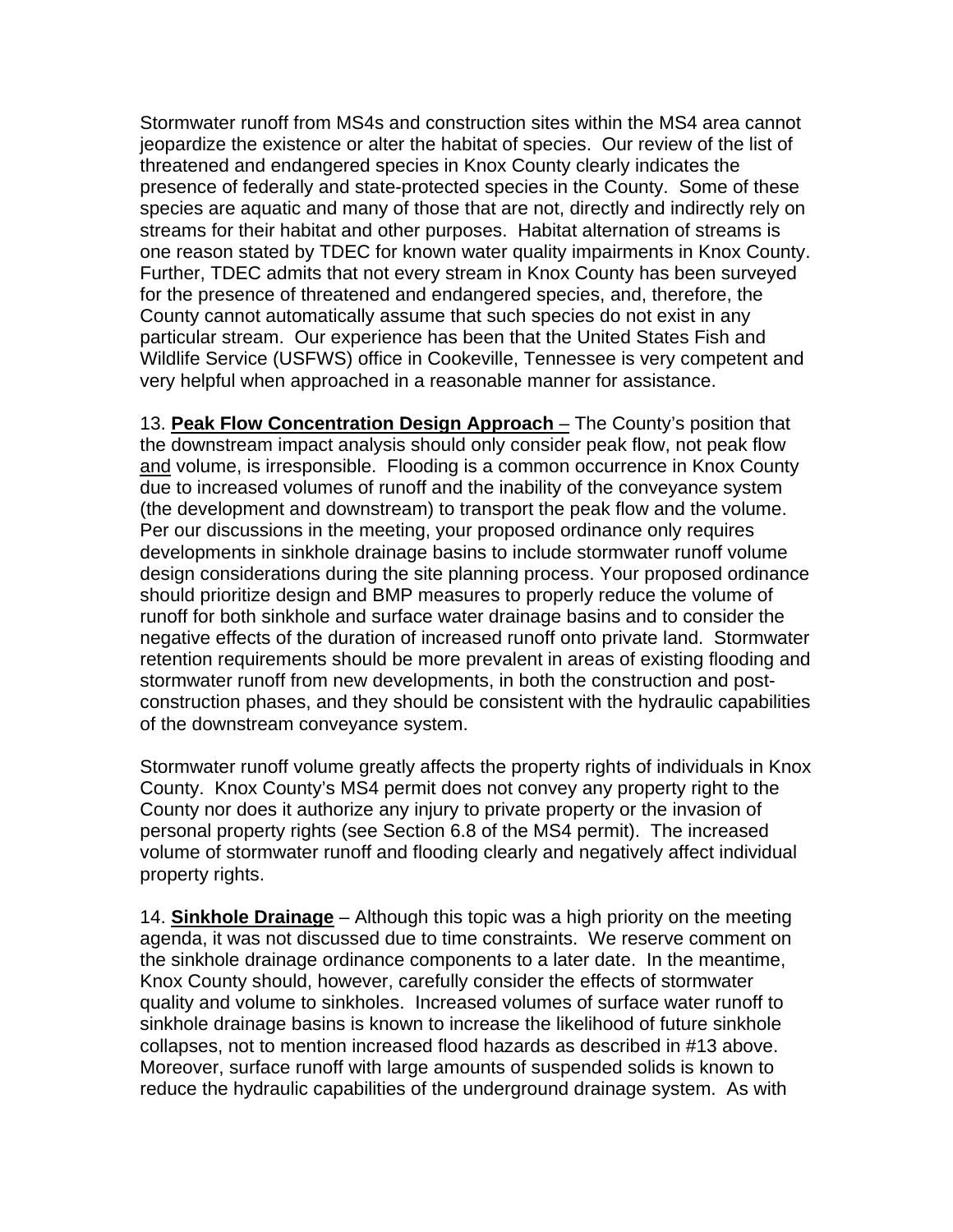Stormwater runoff from MS4s and construction sites within the MS4 area cannot jeopardize the existence or alter the habitat of species. Our review of the list of threatened and endangered species in Knox County clearly indicates the presence of federally and state-protected species in the County. Some of these species are aquatic and many of those that are not, directly and indirectly rely on streams for their habitat and other purposes. Habitat alternation of streams is one reason stated by TDEC for known water quality impairments in Knox County. Further, TDEC admits that not every stream in Knox County has been surveyed for the presence of threatened and endangered species, and, therefore, the County cannot automatically assume that such species do not exist in any particular stream. Our experience has been that the United States Fish and Wildlife Service (USFWS) office in Cookeville, Tennessee is very competent and very helpful when approached in a reasonable manner for assistance.

13. **Peak Flow Concentration Design Approach** – The County's position that the downstream impact analysis should only consider peak flow, not peak flow and volume, is irresponsible. Flooding is a common occurrence in Knox County due to increased volumes of runoff and the inability of the conveyance system (the development and downstream) to transport the peak flow and the volume. Per our discussions in the meeting, your proposed ordinance only requires developments in sinkhole drainage basins to include stormwater runoff volume design considerations during the site planning process. Your proposed ordinance should prioritize design and BMP measures to properly reduce the volume of runoff for both sinkhole and surface water drainage basins and to consider the negative effects of the duration of increased runoff onto private land. Stormwater retention requirements should be more prevalent in areas of existing flooding and stormwater runoff from new developments, in both the construction and postconstruction phases, and they should be consistent with the hydraulic capabilities of the downstream conveyance system.

Stormwater runoff volume greatly affects the property rights of individuals in Knox County. Knox County's MS4 permit does not convey any property right to the County nor does it authorize any injury to private property or the invasion of personal property rights (see Section 6.8 of the MS4 permit). The increased volume of stormwater runoff and flooding clearly and negatively affect individual property rights.

14. **Sinkhole Drainage** – Although this topic was a high priority on the meeting agenda, it was not discussed due to time constraints. We reserve comment on the sinkhole drainage ordinance components to a later date. In the meantime, Knox County should, however, carefully consider the effects of stormwater quality and volume to sinkholes. Increased volumes of surface water runoff to sinkhole drainage basins is known to increase the likelihood of future sinkhole collapses, not to mention increased flood hazards as described in #13 above. Moreover, surface runoff with large amounts of suspended solids is known to reduce the hydraulic capabilities of the underground drainage system. As with